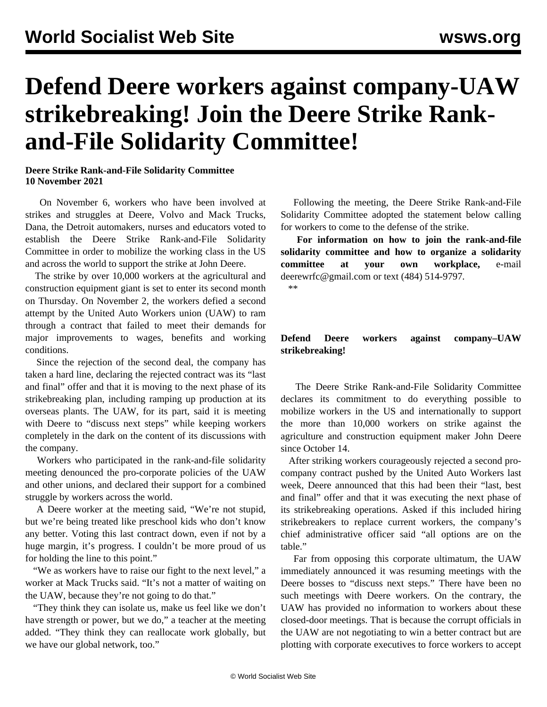## **Defend Deere workers against company-UAW strikebreaking! Join the Deere Strike Rankand-File Solidarity Committee!**

## **Deere Strike Rank-and-File Solidarity Committee 10 November 2021**

 On November 6, workers who have been involved at strikes and struggles at Deere, Volvo and Mack Trucks, Dana, the Detroit automakers, nurses and educators voted to establish the Deere Strike Rank-and-File Solidarity Committee in order to mobilize the working class in the US and across the world to support the strike at John Deere.

 The strike by over 10,000 workers at the agricultural and construction equipment giant is set to enter its second month on Thursday. On November 2, the workers defied a second attempt by the United Auto Workers union (UAW) to ram through a contract that failed to meet their demands for major improvements to wages, benefits and working conditions.

 Since the rejection of the second deal, the company has taken a hard line, declaring the rejected contract was its "last and final" offer and that it is moving to the next phase of its strikebreaking plan, including ramping up production at its overseas plants. The UAW, for its part, said it is meeting with Deere to "discuss next steps" while keeping workers completely in the dark on the content of its discussions with the company.

 Workers who participated in the rank-and-file solidarity meeting denounced the pro-corporate policies of the UAW and other unions, and declared their support for a combined struggle by workers across the world.

 A Deere worker at the meeting said, "We're not stupid, but we're being treated like preschool kids who don't know any better. Voting this last contract down, even if not by a huge margin, it's progress. I couldn't be more proud of us for holding the line to this point."

 "We as workers have to raise our fight to the next level," a worker at Mack Trucks said. "It's not a matter of waiting on the UAW, because they're not going to do that."

 "They think they can isolate us, make us feel like we don't have strength or power, but we do," a teacher at the meeting added. "They think they can reallocate work globally, but we have our global network, too."

 Following the meeting, the Deere Strike Rank-and-File Solidarity Committee adopted the statement below calling for workers to come to the defense of the strike.

 **For information on how to join the rank-and-file solidarity committee and how to organize a solidarity committee at your own workplace,** e-mail [deerewrfc@gmail.com](mailto:deerewrfc@gmail.com) or text (484) 514-9797*.*

\*\*

## **Defend Deere workers against company–UAW strikebreaking!**

 The Deere Strike Rank-and-File Solidarity Committee declares its commitment to do everything possible to mobilize workers in the US and internationally to support the more than 10,000 workers on strike against the agriculture and construction equipment maker John Deere since October 14.

 After striking workers courageously rejected a second procompany contract pushed by the United Auto Workers last week, Deere announced that this had been their "last, best and final" offer and that it was executing the next phase of its strikebreaking operations. Asked if this included hiring strikebreakers to replace current workers, the company's chief administrative officer said "all options are on the table."

 Far from opposing this corporate ultimatum, the UAW immediately announced it was resuming meetings with the Deere bosses to "discuss next steps." There have been no such meetings with Deere workers. On the contrary, the UAW has provided no information to workers about these closed-door meetings. That is because the corrupt officials in the UAW are not negotiating to win a better contract but are plotting with corporate executives to force workers to accept